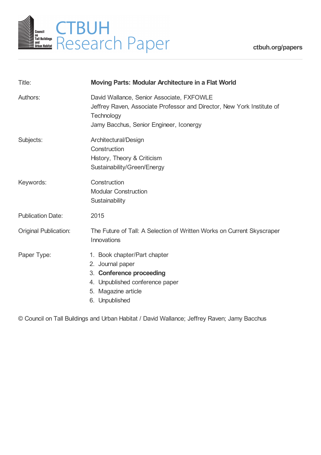

**[ctbuh.org/papers](http://ctbuh.org/papers)**

| Title:                       | <b>Moving Parts: Modular Architecture in a Flat World</b>                                                                                                                    |
|------------------------------|------------------------------------------------------------------------------------------------------------------------------------------------------------------------------|
| Authors:                     | David Wallance, Senior Associate, FXFOWLE<br>Jeffrey Raven, Associate Professor and Director, New York Institute of<br>Technology<br>Jamy Bacchus, Senior Engineer, Iconergy |
| Subjects:                    | Architectural/Design<br>Construction<br>History, Theory & Criticism<br>Sustainability/Green/Energy                                                                           |
| Keywords:                    | Construction<br><b>Modular Construction</b><br>Sustainability                                                                                                                |
| <b>Publication Date:</b>     | 2015                                                                                                                                                                         |
| <b>Original Publication:</b> | The Future of Tall: A Selection of Written Works on Current Skyscraper<br>Innovations                                                                                        |
| Paper Type:                  | 1. Book chapter/Part chapter<br>2. Journal paper<br>3. Conference proceeding<br>4. Unpublished conference paper<br>5. Magazine article<br>6. Unpublished                     |

© Council on Tall Buildings and Urban Habitat / David Wallance; Jeffrey Raven; Jamy Bacchus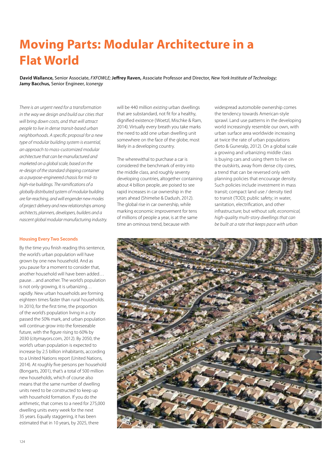# **Moving Parts: Modular Architecture in a Flat World**

**David Wallance,** Senior Associate, *FXFOWLE;* **Jeffrey Raven,** Associate Professor and Director, *New York Institute of Technology;* **Jamy Bacchus,** Senior Engineer, *Iconergy*

*There is an urgent need for a transformation in the way we design and build our cities that will bring down costs, and that will attract people to live in dense transit-based urban neighborhoods. A specific proposal for a new type of modular building system is essential, an approach to mass-customized modular architecture that can be manufactured and marketed on a global scale, based on the re-design of the standard shipping container as a purpose-engineered chassis for mid- to high-rise buildings. The ramifications of a globally distributed system of modular building are far-reaching, and will engender new modes of project delivery and new relationships among architects, planners, developers, builders and a nascent global modular manufacturing industry.*

### **Housing Every Two Seconds**

By the time you finish reading this sentence, the world's urban population will have grown by one new household. And as you pause for a moment to consider that, another household will have been added… pause…and another. The world's population is not only growing, it is urbanizing… rapidly. New urban households are forming eighteen times faster than rural households. In 2010, for the first time, the proportion of the world's population living in a city passed the 50% mark, and urban population will continue grow into the foreseeable future, with the figure rising to 60% by 2030 (citymayors.com, 2012). By 2050, the world's urban population is expected to increase by 2.5 billion inhabitants, according to a United Nations report (United Nations, 2014). At roughly five persons per household (Bongarts, 2001), that's a total of 500 million new households, which of course also means that the same number of dwelling units need to be constructed to keep up with household formation. If you do the arithmetic, that comes to a need for 275,000 dwelling units every week for the next 35 years. Equally staggering, it has been estimated that in 10 years, by 2025, there

will be 440 million *existing* urban dwellings that are substandard, not fit for a healthy, dignified existence (Woetzl, Mischke & Ram, 2014). Virtually every breath you take marks the need to add one urban dwelling unit somewhere on the face of the globe, most likely in a developing country.

The wherewithal to purchase a car is considered the benchmark of entry into the middle class, and roughly seventy developing countries, altogether containing about 4 billion people, are poised to see rapid increases in car ownership in the years ahead (Shimelse & Dadush, 2012). The global rise in car ownership, while marking economic improvement for tens of millions of people a year, is at the same time an ominous trend, because with

widespread automobile ownership comes the tendency towards American-style sprawl. Land use patterns in the developing world increasingly resemble our own, with urban surface area worldwide increasing at twice the rate of urban populations (Seto & Guneralp, 2012). On a global scale a growing and urbanizing middle class is buying cars and using them to live on the outskirts, away from dense city cores, a trend that can be reversed only with planning policies that encourage density. Such policies include investment in mass transit; compact land use / density tied to transit (TOD); public safety; in water, sanitation, electrification, and other infrastructure; but without *safe, economical, high-quality multi-story dwellings that can be built at a rate that keeps pace with urban* 

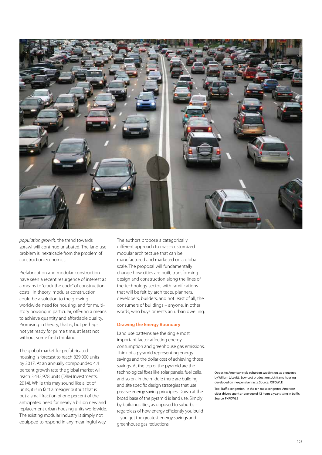

*population growth*, the trend towards sprawl will continue unabated. The land use problem is inextricable from the problem of construction economics.

Prefabrication and modular construction have seen a recent resurgence of interest as a means to "crack the code" of construction costs. In theory, modular construction could be a solution to the growing worldwide need for housing, and for multistory housing in particular, offering a means to achieve quantity and affordable quality. Promising in theory, that is, but perhaps not yet ready for prime time, at least not without some fresh thinking.

The global market for prefabricated housing is forecast to reach 829,000 units by 2017. At an annually compounded 4.4 percent growth rate the global market will reach 3,432,978 units (DRM Investments, 2014). While this may sound like a lot of units, it is in fact a meager output that is but a small fraction of one percent of the anticipated need for nearly a billion new and replacement urban housing units worldwide. The existing modular industry is simply not equipped to respond in any meaningful way. The authors propose a categorically different approach to mass-customized modular architecture that can be manufactured and marketed on a global scale. The proposal will fundamentally change how cities are built, transforming design and construction along the lines of the technology sector, with ramifications that will be felt by architects, planners, developers, builders, and not least of all, the consumers of buildings – anyone, in other words, who buys or rents an urban dwelling.

## **Drawing the Energy Boundary**

Land use patterns are the single most important factor affecting energy consumption and greenhouse gas emissions. Think of a pyramid representing energy savings and the dollar cost of achieving those savings. At the top of the pyramid are the technological fixes like solar panels, fuel cells, and so on. In the middle there are building and site specific design strategies that use passive energy saving principles. Down at the broad base of the pyramid is land use. Simply by building cities, as opposed to suburbs – regardless of how energy efficiently you build – you get the greatest energy savings and greenhouse gas reductions.

Opposite: American-style suburban subdivision, as pioneered by William J. Levitt. Low-cost production stick-frame housing developed on inexpensive tracts. Source: FXFOWLE

Top: Traffic congestion. In the ten most congested American cities drivers spent an average of 42 hours a year sitting in traffic. Source: FXFOWLE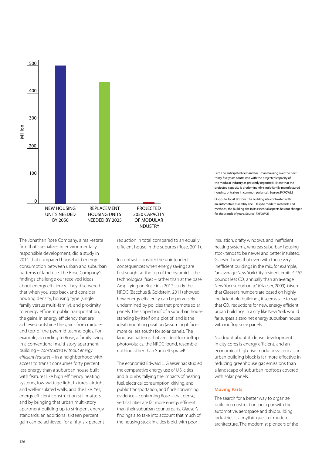

The Jonathan Rose Company, a real-estate firm that specializes in environmentally responsible development, did a study in 2011 that compared household energy consumption between urban and suburban patterns of land use. The Rose Company's findings challenge our received ideas about energy efficiency. They discovered that when you step back and consider housing density, housing type (single family versus multi-family), and proximity to energy efficient public transportation, the gains in energy efficiency that are achieved outshine the gains from middleand top-of-the pyramid technologies. For example, according to Rose, a family living in a conventional multi-story apartment building – *constructed without energy efficient features* – in a neighborhood with access to transit consumes forty percent less energy than a suburban house built with features like high efficiency heating systems, low wattage light fixtures, airtight and well-insulated walls, and the like. Yes, energy efficient construction still matters, and by bringing that urban multi-story apartment building up to stringent energy standards, an additional sixteen percent gain can be achieved, for a fifty-six percent

reduction in total compared to an equally efficient house in the suburbs (Rose, 2011).

In contrast, consider the unintended consequences when energy savings are first sought at the top of the pyramid – the technological fixes – rather than at the base. Amplifying on Rose in a 2012 study the NRDC (Bacchus & Goldstein, 2011) showed how energy efficiency can be perversely undermined by policies that promote solar panels. The sloped roof of a suburban house standing by itself on a plot of land is the ideal mounting position (assuming it faces more or less south) for solar panels. The land use patterns that are ideal for rooftop photovoltaics, the NRDC found, resemble nothing other than Sunbelt sprawl!

The economist Edward L. Glaeser has studied the comparative energy use of U.S. cities and suburbs, tallying the impacts of heating fuel, electrical consumption, driving, and public transportation, and finds convincing evidence – confirming Rose – that dense, vertical cities are far more energy efficient than their suburban counterparts. Glaeser's findings also take into account that much of the housing stock in cities is old, with poor

Left: The anticipated demand for urban housing over the next thirty-five years contrasted with the projected capacity of the modular industry as presently organized. (Note that the projected capacity is predominantly single-family manufactured housing, or trailers in common parlance). Source: FXFOWLE

Opposite Top & Bottom: The building site contrasted with an automotive assembly line. Despite modern materials and methods, the building site in its essential aspects has not changed for thousands of years. Source: FXFOWLE

insulation, drafty windows, and inefficient heating systems, whereas suburban housing stock tends to be newer and better insulated. Glaeser shows that even with those very inefficient buildings in the mix, for example, "an average New York City resident emits 4,462 pounds less  $CO<sub>2</sub>$  annually than an average New York suburbanite" (Glaeser, 2009). Given that Glaeser's numbers are based on highly inefficient old buildings, it seems safe to say that  $CO_2$  reductions for new, energy efficient urban buildings in a city like New York would far surpass a zero net energy suburban house with rooftop solar panels.

No doubt about it: dense development in city cores is energy efficient, and an economical high-rise modular system as an urban building block is far more effective in reducing greenhouse gas emissions than a landscape of suburban rooftops covered with solar panels.

#### **Moving Parts**

The search for a better way to organize building construction, on a par with the automotive, aerospace and shipbuilding industries is a mythic quest of modern architecture. The modernist pioneers of the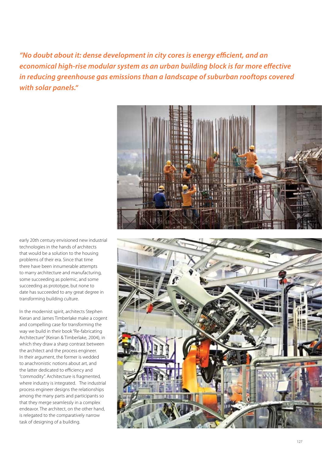*"No doubt about it: dense development in city cores is energy efficient, and an economical high-rise modular system as an urban building block is far more effective in reducing greenhouse gas emissions than a landscape of suburban rooftops covered with solar panels."*



early 20th century envisioned new industrial technologies in the hands of architects that would be a solution to the housing problems of their era. Since that time there have been innumerable attempts to marry architecture and manufacturing, some succeeding as polemic, and some succeeding as prototype, but none to date has succeeded to any great degree in transforming building culture.

In the modernist spirit, architects Stephen Kieran and James Timberlake make a cogent and compelling case for transforming the way we build in their book "Re-fabricating Architecture" (Keiran & Timberlake, 2004), in which they draw a sharp contrast between the architect and the process engineer. In their argument, the former is wedded to anachronistic notions about art, and the latter dedicated to efficiency and "commodity". Architecture is fragmented, where industry is integrated. The industrial process engineer designs the relationships among the many parts and participants so that they merge seamlessly in a complex endeavor. The architect, on the other hand, is relegated to the comparatively narrow task of designing of a building.

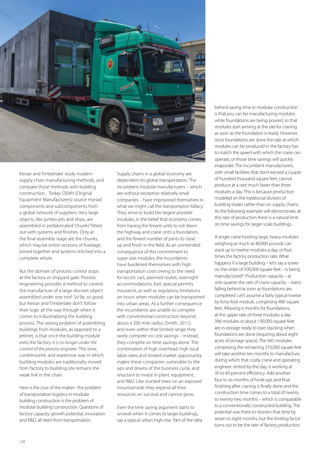

Keiran and Timberlake study modern supply chain manufacturing methods, and compare those methods with building construction. Today, OEM's (Original Equipment Manufacturers) source myriad components and subcomponents from a global network of suppliers. Very large objects, like jumbo jets and ships, are assembled in prefabricated "chunks" fitted out with systems and finishes. Only at the final assembly stage are the chunks, which may be entire sections of fuselage, joined together and systems stitched into a complete whole.

But the domain of process control stops at the factory or shipyard gate. Process engineering provides a method to control the manufacture of a large discreet object assembled under one roof. So far, so good, but Keiran and Timberlake don't follow their logic all the way through when it comes to industrializing the building process. The vexing problem of assembling buildings from modules, as opposed to a jetliner, is that once the building module exits the factory *it is no longer under the control of the process engineer*. The slow, cumbersome, and expensive way in which building modules are traditionally moved from factory to building site remains the weak link in the chain.

Here is the crux of the matter: the problem of transportation logistics in modular building construction is the problem of modular building construction. Questions of factory capacity, growth potential, innovation and R&D, all stem from transportation.

Supply chains in a global economy are dependent on global transportation. The incumbent modular manufacturers – which are without exception relatively small companies – have imprisoned themselves in what we might call the *transportation fallacy*. They strive to build the largest possible modules, in the belief that economy comes from having the fewest units to roll down the highway and crane onto a foundation, and the fewest number of joints to close up and finish in the field. As an unintended consequence of this commitment to super-size modules, the incumbents have burdened themselves with high transportation costs owing to the need for escort cars, planned routes, overnight accommodations, fuel, special permits, insurance, as well as regulatory limitations on hours when modules can be transported into urban areas. As a further consequence the incumbents are unable to compete with conventional construction beyond about a 200 mile radius (Smith, 2011), and even within that limited range they rarely compete on cost savings – instead, they compete on time savings alone. The combination of high overhead, high local labor rates and limited market opportunity makes these companies vulnerable to the ups and downs of the business cycle, and reluctant to invest in plant, equipment, and R&D. Like stunted trees on an exposed mountainside they expend all their resources on survival and cannot grow.

Even the time saving argument starts to unravel when it comes to larger buildings, say a typical urban high-rise. Part of the idea behind saving time in modular construction is that you can be manufacturing modules while foundations are being poured, so that modules start arriving at the site for craning as soon as the foundation is ready. However, once foundations are done the rate at which modules can be produced in the factory has to match the speed with which the crane can operate, or those time savings will quickly evaporate. The incumbent manufacturers, with small facilities that don't exceed a couple of hundred thousand square feet, cannot produce at a rate much faster than three modules a day. This is because production modeled on the traditional division of building trades rather than on supply chains. As the following example will demonstrate, at this rate of production there is a natural limit on time savings for larger scale buildings.

A single crane hoisting large, heavy modules weighing as much as 80,000 pounds can stack up to twelve modules a day, or four times the factory production rate. What happens if a large building – let's say a tower on the order of 500,000 square feet – is being manufactured? Production capacity – at one-quarter the rate of crane capacity – starts falling behind as soon as foundations are completed. Let's assume a fairly typical twelve by forty-foot module, comprising 480 square feet. Allowing 6 months for foundations, at the upper rate of three modules a day 396 modules or about 190,000 square feet are in storage ready to start stacking when foundations are done (requiring about eight acres of storage space). The 645 modules comprising the remaining 310,000 square feet will take another ten months to manufacture. during which that costly crane and operating engineer, rented by the day, is working at 30 to 40 percent efficiency. Add another four to six months of hook-ups and final finishing after craning is finally done and the construction time comes to a total of twenty to twenty-two months – which is comparable to a conventionally constructed building. The potential was there to shorten that time by seven to eight months, but the limiting factor turns out to be the rate of factory production.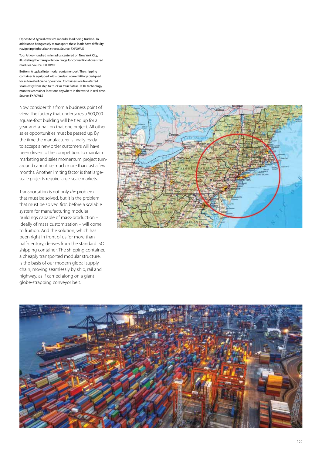Opposite: A typical oversize modular load being trucked. In addition to being costly to transport, these loads have difficulty navigating tight urban streets. Source: FXFOWLE

Top: A two-hundred mile radius centered on New York City, illustrating the transportation range for conventional oversized modules. Source: FXFOWLE

Bottom: A typical intermodal container port. The shipping container is equipped with standard corner fittings designed for automated crane operation. Containers are transferred seamlessly from ship to truck or train flatcar. RFID technology monitors container locations anywhere in the world in real time. Source: FXFOWLE

Now consider this from a business point of view. The factory that undertakes a 500,000 square-foot building will be tied up for a year-and-a-half on that one project. All other sales opportunities must be passed up. By the time the manufacturer is finally ready to accept a new order customers will have been driven to the competition. To maintain marketing and sales momentum, project turnaround cannot be much more than just a few months. Another limiting factor is that largescale projects require large-scale markets.

Transportation is not only *the* problem that must be solved, but it is the problem that must be solved *first*, before a scalable system for manufacturing modular buildings capable of mass-production – ideally of mass customization – will come to fruition. And the solution, which has been right in front of us for more than half-century, derives from the standard ISO shipping container. The shipping container, a cheaply transported modular structure, is the basis of our modern global supply chain, moving seamlessly by ship, rail and highway, as if carried along on a giant globe-strapping conveyor belt.



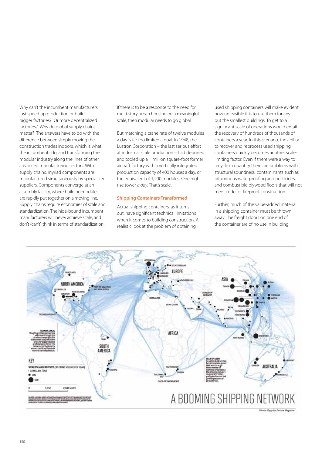Why can't the incumbent manufacturers just speed up production or build bigger factories? Or more decentralized factories? Why do global supply chains matter? The answers have to do with the difference between simply moving the construction trades indoors, which is what the incumbents do, and transforming the modular industry along the lines of other advanced manufacturing sectors. With supply chains, myriad components are manufactured simultaneously by specialized suppliers. Components converge at an assembly facility, where building modules are rapidly put together on a moving line. Supply chains require economies of scale and standardization. The hide-bound incumbent manufacturers will never achieve scale, and don't (can't) think in terms of standardization.

If there is to be a response to the need for multi-story urban housing on a meaningful scale, then modular needs to go global.

But matching a crane rate of twelve modules a day is far too limited a goal. In 1948, the Lustron Corporation – the last serious effort at industrial scale production – had designed and tooled up a 1 million square-foot former aircraft factory with a vertically integrated production capacity of 400 houses a day, or the equivalent of 1,200 modules. One highrise tower *a day*. That's scale.

## **Shipping Containers Transformed**

Actual shipping containers, as it turns out, have significant technical limitations when it comes to building construction. A realistic look at the problem of obtaining

used shipping containers will make evident how unfeasible it is to use them for any but the smallest buildings. To get to a significant scale of operations would entail the recovery of hundreds of thousands of containers a year. In this scenario, the ability to recover and reprocess used shipping containers quickly becomes another scalelimiting factor. Even if there were a way to recycle in quantity there are problems with structural soundness, contaminants such as bituminous waterproofing and pesticides, and combustible plywood floors that will not meet code for fireproof construction.

Further, much of the value-added material in a shipping container must be thrown away. The freight doors on one end of the container are of no use in building



Nicolas Rapp for Fortune Magazine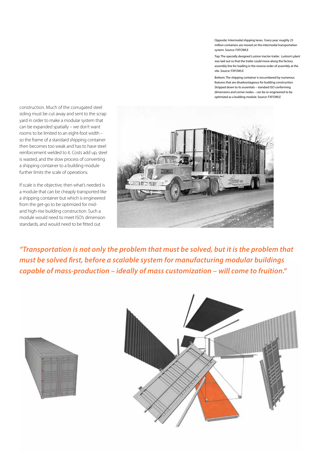Opposite: Intermodal shipping lanes. Every year, roughly 25 million containers are moved on the intermodal transportation system. Source: FXFOWLE

Top: The specially designed Lustron tractor-trailer. Lustron's plant was laid out so that the trailer could move along the factory assembly line for loading in the reverse order of assembly at the site. Source: FXFOWLE

Bottom: The shipping container is encumbered by numerous features that are disadvantageous for building construction. Stripped down to its essentials – standard ISO conforming dimensions and corner nodes – can be re-engineered to be optimized as a building module. Source: FXFOWLE

construction. Much of the corrugated steel siding must be cut away and sent to the scrap yard in order to make a modular system that can be expanded spatially – we don't want rooms to be limited to an eight-foot width – so the frame of a standard shipping container then becomes too weak and has to have steel reinforcement welded to it. Costs add up, steel is wasted, and the slow process of converting a shipping container to a building module further limits the scale of operations.

If scale is the objective, then what's needed is a module that can be cheaply transported like a shipping container but which is engineered from the get-go to be optimized for midand high-rise building construction. Such a module would need to meet ISO's dimension standards, and would need to be fitted out



*"Transportation is not only the problem that must be solved, but it is the problem that must be solved first, before a scalable system for manufacturing modular buildings capable of mass-production – ideally of mass customization – will come to fruition."*



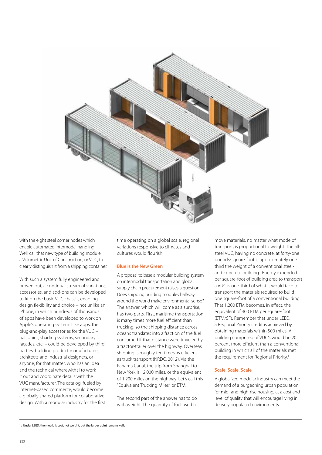

with the eight steel corner nodes which enable automated intermodal handling. We'll call that new type of building module a Volumetric Unit of Construction, or VUC, to clearly distinguish it from a shipping container.

With such a system fully engineered and proven out, a continual stream of variations, accessories, and add-ons can be developed to fit on the basic VUC chassis, enabling design flexibility and choice – not unlike an iPhone, in which hundreds of thousands of apps have been developed to work on Apple's operating system. Like apps, the plug-and-play accessories for the VUC – balconies, shading systems, secondary façades, etc. – could be developed by thirdparties: building product manufacturers, architects and industrial designers, or anyone, for that matter, who has an idea and the technical wherewithal to work it out and coordinate details with the VUC manufacturer. The catalog, fueled by internet-based commerce, would become a globally shared platform for collaborative design. With a modular industry for the first

time operating on a global scale, regional variations responsive to climates and cultures would flourish.

# **Blue is the New Green**

A proposal to base a modular building system on intermodal transportation and global supply chain procurement raises a question: Does shipping building modules halfway around the world make environmental sense? The answer, which will come as a surprise, has two parts. First, maritime transportation is many times more fuel efficient than trucking, so the shipping distance across oceans translates into a fraction of the fuel consumed if that distance were traveled by a tractor-trailer over the highway. Overseas shipping is roughly ten times as efficient as truck transport (NRDC, 2012). Via the Panama Canal, the trip from Shanghai to New York is 12,000 miles, or the equivalent of 1,200 miles on the highway. Let's call this "Equivalent Trucking Miles", or ETM.

The second part of the answer has to do with weight. The quantity of fuel used to move materials, no matter what mode of transport, is proportional to weight. The allsteel VUC, having no concrete, at forty-one pounds/square-foot is approximately onethird the weight of a conventional steeland-concrete building. Energy expended per square-foot of building area to transport a VUC is one-third of what it would take to transport the materials required to build one square-foot of a conventional building. That 1,200 ETM becomes, in effect, the equivalent of 400 ETM per square-foot (ETM/SF). Remember that under LEED, a Regional Priority credit is achieved by obtaining materials within 500 miles. A building comprised of VUC's would be 20 percent more efficient than a conventional building in which all of the materials met the requirement for Regional Priority.<sup>1</sup>

# **Scale, Scale, Scale**

A globalized modular industry can meet the demand of a burgeoning urban population for mid- and high-rise housing, at a cost and level of quality that will encourage living in densely populated environments.

<sup>1:</sup> Under LEED, the metric is cost, not weight, but the larger point remains valid.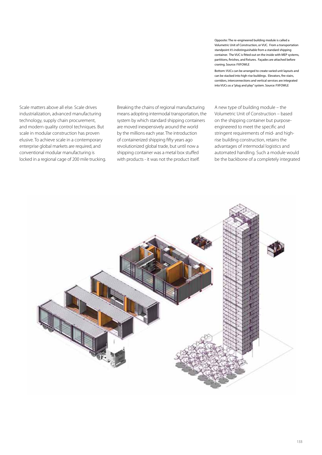Scale matters above all else. Scale drives industrialization, advanced manufacturing technology, supply chain procurement, and modern quality control techniques. But scale in modular construction has proven elusive. To achieve scale in a contemporary enterprise global markets are required, and conventional modular manufacturing is locked in a regional cage of 200 mile trucking. Breaking the chains of regional manufacturing means adopting intermodal transportation, the system by which standard shipping containers are moved inexpensively around the world by the millions each year. The introduction of containerized shipping fifty years ago revolutionized global trade, but until now a shipping container was a metal box stuffed with products - it was not the product itself.

Opposite: The re-engineered building module is called a Volumetric Unit of Construction, or VUC. From a transportation standpoint it's indistinguishable from a standard shipping container. The VUC is fitted out on the inside with MEP systems, partitions, finishes, and fixtures. Façades are attached before craning. Source: FXFOWLE

Bottom: VUCs can be arranged to create varied unit layouts and can be stacked into high-rise buildings. Elevators, fire stairs, corridors, interconnections and vertical services are integrated into VUCs as a "plug and play" system. Source: FXFOWLE

A new type of building module – the Volumetric Unit of Construction – based on the shipping container but purposeengineered to meet the specific and stringent requirements of mid- and highrise building construction, retains the advantages of intermodal logistics and automated handling. Such a module would be the backbone of a completely integrated

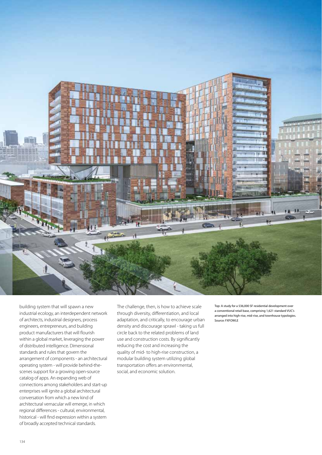

building system that will spawn a new industrial ecology, an interdependent network of architects, industrial designers, process engineers, entrepreneurs, and building product manufacturers that will flourish within a global market, leveraging the power of distributed intelligence. Dimensional standards and rules that govern the arrangement of components - an architectural operating system - will provide behind-thescenes support for a growing open-source catalog of apps. An expanding web of connections among stakeholders and start-up enterprises will ignite a global architectural conversation from which a new kind of architectural vernacular will emerge, in which regional differences - cultural, environmental, historical - will find expression within a system of broadly accepted technical standards.

The challenge, then, is how to achieve scale through diversity, differentiation, and local adaptation, and critically, to encourage urban density and discourage sprawl - taking us full circle back to the related problems of land use and construction costs. By significantly reducing the cost and increasing the quality of mid- to high-rise construction, a modular building system utilizing global transportation offers an environmental, social, and economic solution.

Top: A study for a 536,000 SF residential development over a conventional retail base, comprising 1,621 standard VUC's arranged into high-rise, mid-rise, and townhouse typologies. Source: FXFOWLE